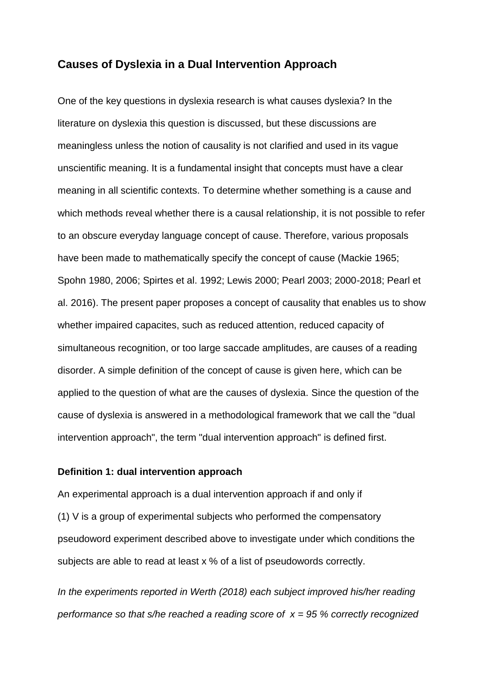## **Causes of Dyslexia in a Dual Intervention Approach**

One of the key questions in dyslexia research is what causes dyslexia? In the literature on dyslexia this question is discussed, but these discussions are meaningless unless the notion of causality is not clarified and used in its vague unscientific meaning. It is a fundamental insight that concepts must have a clear meaning in all scientific contexts. To determine whether something is a cause and which methods reveal whether there is a causal relationship, it is not possible to refer to an obscure everyday language concept of cause. Therefore, various proposals have been made to mathematically specify the concept of cause (Mackie 1965; Spohn 1980, 2006; Spirtes et al. 1992; Lewis 2000; Pearl 2003; 2000-2018; Pearl et al. 2016). The present paper proposes a concept of causality that enables us to show whether impaired capacites, such as reduced attention, reduced capacity of simultaneous recognition, or too large saccade amplitudes, are causes of a reading disorder. A simple definition of the concept of cause is given here, which can be applied to the question of what are the causes of dyslexia. Since the question of the cause of dyslexia is answered in a methodological framework that we call the "dual intervention approach", the term "dual intervention approach" is defined first.

## **Definition 1: dual intervention approach**

An experimental approach is a dual intervention approach if and only if (1) V is a group of experimental subjects who performed the compensatory pseudoword experiment described above to investigate under which conditions the subjects are able to read at least x % of a list of pseudowords correctly.

*In the experiments reported in Werth (2018) each subject improved his/her reading performance so that s/he reached a reading score of x = 95 % correctly recognized*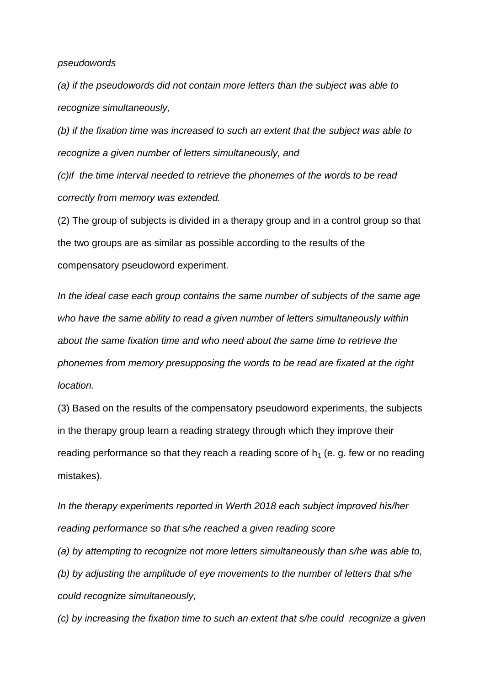*pseudowords*

*(a) if the pseudowords did not contain more letters than the subject was able to recognize simultaneously,*

*(b) if the fixation time was increased to such an extent that the subject was able to recognize a given number of letters simultaneously, and*

*(c)if the time interval needed to retrieve the phonemes of the words to be read correctly from memory was extended.*

(2) The group of subjects is divided in a therapy group and in a control group so that the two groups are as similar as possible according to the results of the compensatory pseudoword experiment.

*In the ideal case each group contains the same number of subjects of the same age who have the same ability to read a given number of letters simultaneously within about the same fixation time and who need about the same time to retrieve the phonemes from memory presupposing the words to be read are fixated at the right location.*

(3) Based on the results of the compensatory pseudoword experiments, the subjects in the therapy group learn a reading strategy through which they improve their reading performance so that they reach a reading score of  $h_1$  (e. g. few or no reading mistakes).

*In the therapy experiments reported in Werth 2018 each subject improved his/her reading performance so that s/he reached a given reading score*

*(a) by attempting to recognize not more letters simultaneously than s/he was able to, (b) by adjusting the amplitude of eye movements to the number of letters that s/he could recognize simultaneously,*

*(c) by increasing the fixation time to such an extent that s/he could recognize a given*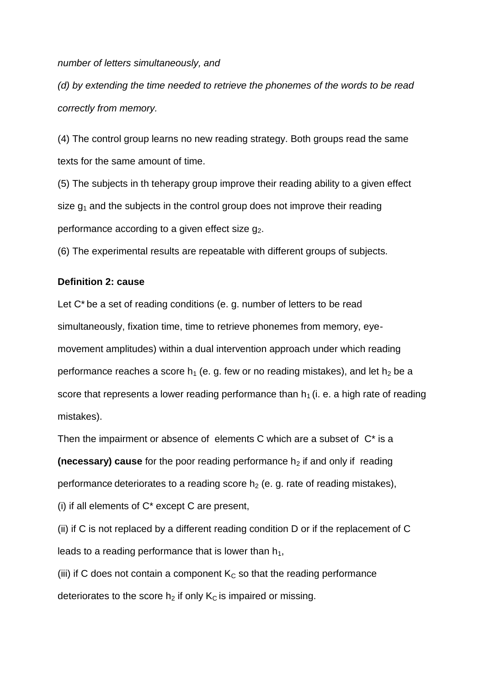*number of letters simultaneously, and*

*(d) by extending the time needed to retrieve the phonemes of the words to be read correctly from memory.*

(4) The control group learns no new reading strategy. Both groups read the same texts for the same amount of time.

(5) The subjects in th teherapy group improve their reading ability to a given effect size  $g_1$  and the subjects in the control group does not improve their reading performance according to a given effect size  $q_2$ .

(6) The experimental results are repeatable with different groups of subjects.

## **Definition 2: cause**

Let C<sup>\*</sup> be a set of reading conditions (e. g. number of letters to be read simultaneously, fixation time, time to retrieve phonemes from memory, eyemovement amplitudes) within a dual intervention approach under which reading performance reaches a score  $h_1$  (e. g. few or no reading mistakes), and let  $h_2$  be a score that represents a lower reading performance than  $h_1$  (i. e. a high rate of reading mistakes).

Then the impairment or absence of elements C which are a subset of C\* is a **(necessary) cause** for the poor reading performance h<sub>2</sub> if and only if reading performance deteriorates to a reading score  $h_2$  (e. g. rate of reading mistakes),

(i) if all elements of  $C^*$  except C are present,

(ii) if C is not replaced by a different reading condition D or if the replacement of C leads to a reading performance that is lower than  $h_1$ ,

(iii) if C does not contain a component  $K<sub>C</sub>$  so that the reading performance deteriorates to the score  $h_2$  if only  $K_c$  is impaired or missing.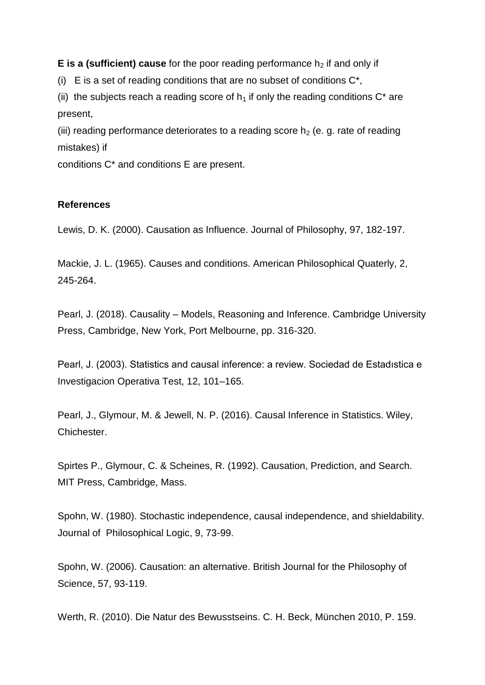**E** is a (sufficient) cause for the poor reading performance h<sub>2</sub> if and only if

(i)  $E$  is a set of reading conditions that are no subset of conditions  $C^*$ ,

(ii) the subjects reach a reading score of  $h_1$  if only the reading conditions  $C^*$  are present,

(iii) reading performance deteriorates to a reading score  $h_2$  (e. g. rate of reading mistakes) if

conditions C\* and conditions E are present.

## **References**

Lewis, D. K. (2000). Causation as Influence. Journal of Philosophy, 97, 182-197.

Mackie, J. L. (1965). Causes and conditions. American Philosophical Quaterly, 2, 245-264.

Pearl, J. (2018). Causality – Models, Reasoning and Inference. Cambridge University Press, Cambridge, New York, Port Melbourne, pp. 316-320.

Pearl, J. (2003). Statistics and causal inference: a review. Sociedad de Estadıstica e Investigacion Operativa Test, 12, 101–165.

Pearl, J., Glymour, M. & Jewell, N. P. (2016). Causal Inference in Statistics. Wiley, Chichester.

Spirtes P., Glymour, C. & Scheines, R. (1992). Causation, Prediction, and Search. MIT Press, Cambridge, Mass.

Spohn, W. (1980). Stochastic independence, causal independence, and shieldability. Journal of Philosophical Logic, 9, 73-99.

Spohn, W. (2006). Causation: an alternative. British Journal for the Philosophy of Science, 57, 93-119.

Werth, R. (2010). Die Natur des Bewusstseins. C. H. Beck, München 2010, P. 159.